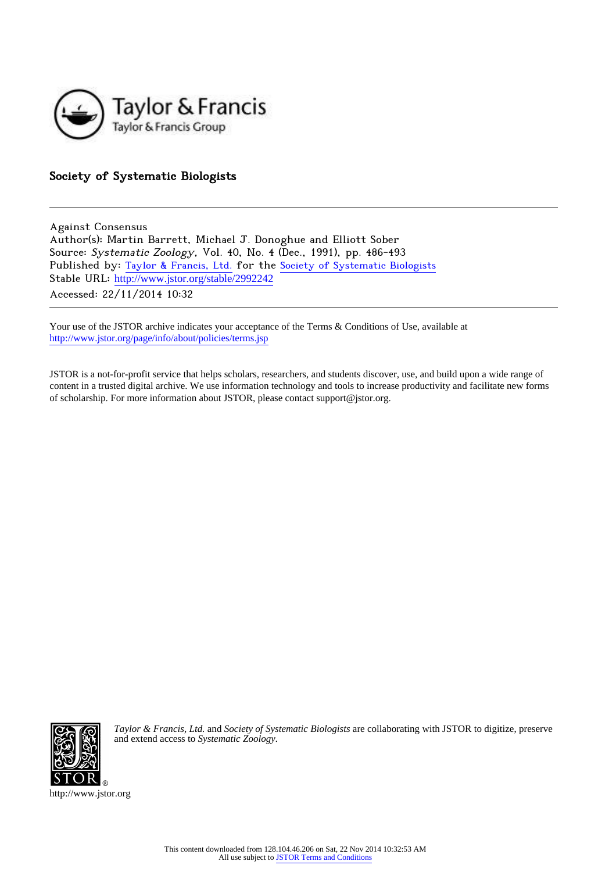

## Society of Systematic Biologists

Against Consensus Author(s): Martin Barrett, Michael J. Donoghue and Elliott Sober Source: Systematic Zoology, Vol. 40, No. 4 (Dec., 1991), pp. 486-493 Published by: [Taylor & Francis, Ltd.](http://www.jstor.org/action/showPublisher?publisherCode=taylorfrancis) for the [Society of Systematic Biologists](http://www.jstor.org/action/showPublisher?publisherCode=ssbiol) Stable URL: [http://www.jstor.org/stable/2992242](http://www.jstor.org/stable/2992242?origin=JSTOR-pdf) Accessed: 22/11/2014 10:32

Your use of the JSTOR archive indicates your acceptance of the Terms & Conditions of Use, available at <http://www.jstor.org/page/info/about/policies/terms.jsp>

JSTOR is a not-for-profit service that helps scholars, researchers, and students discover, use, and build upon a wide range of content in a trusted digital archive. We use information technology and tools to increase productivity and facilitate new forms of scholarship. For more information about JSTOR, please contact support@jstor.org.



*Taylor & Francis, Ltd.* and *Society of Systematic Biologists* are collaborating with JSTOR to digitize, preserve and extend access to *Systematic Zoology.*

http://www.jstor.org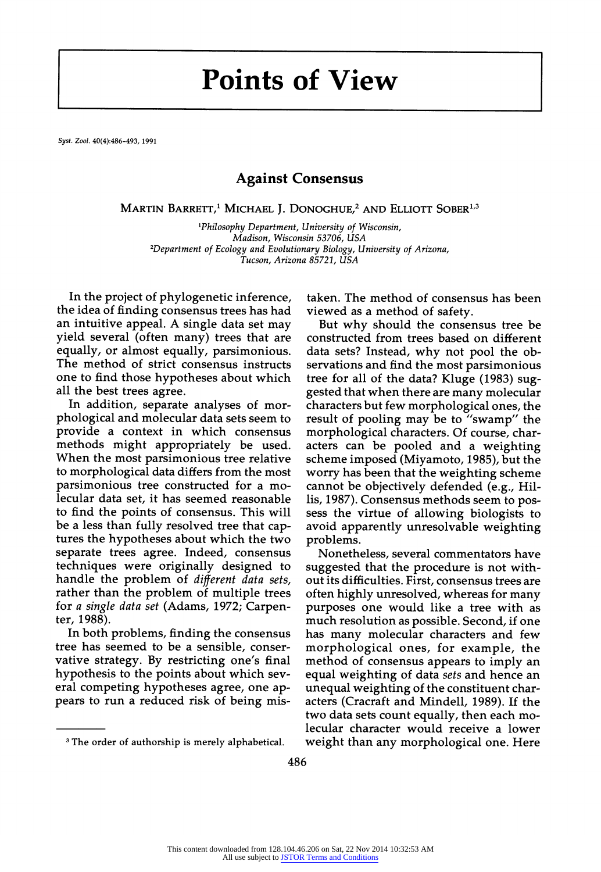# Points of View

Syst. Zool. 40(4):486-493, 1991

### Against Consensus

MARTIN BARRETT,<sup>1</sup> MICHAEL J. DONOGHUE,<sup>2</sup> AND ELLIOTT SOBER<sup>1,3</sup>

Philosophy Department, University of Wisconsin, Madison, Wisconsin 53706, USA 2Department of Ecology and Evolutionary Biology, University of Arizona, Tucson, Arizona 85721, USA

In the project of phylogenetic inference, the idea of finding consensus trees has had an intuitive appeal. A single data set may yield several (often many) trees that are equally, or almost equally, parsimonious. The method of strict consensus instructs one to find those hypotheses about which all the best trees agree.

In addition, separate analyses of morphological and molecular data sets seem to provide a context in which consensus methods might appropriately be used. When the most parsimonious tree relative to morphological data differs from the most parsimonious tree constructed for a molecular data set, it has seemed reasonable to find the points of consensus. This will be a less than fully resolved tree that captures the hypotheses about which the two separate trees agree. Indeed, consensus techniques were originally designed to handle the problem of different data sets, rather than the problem of multiple trees for a single data set (Adams, 1972; Carpenter, 1988).

In both problems, finding the consensus tree has seemed to be a sensible, conservative strategy. By restricting one's final hypothesis to the points about which several competing hypotheses agree, one appears to run a reduced risk of being mis-

taken. The method of consensus has been viewed as a method of safety.

But why should the consensus tree be constructed from trees based on different data sets? Instead, why not pool the observations and find the most parsimonious tree for all of the data? Kluge (1983) suggested that when there are many molecular characters but few morphological ones, the result of pooling may be to "swamp" the morphological characters. Of course, characters can be pooled and a weighting scheme imposed (Miyamoto, 1985), but the worry has been that the weighting scheme cannot be objectively defended (e.g., Hillis, 1987). Consensus methods seem to possess the virtue of allowing biologists to avoid apparently unresolvable weighting problems.

Nonetheless, several commentators have suggested that the procedure is not without its difficulties. First, consensus trees are often highly unresolved, whereas for many purposes one would like a tree with as much resolution as possible. Second, if one has many molecular characters and few morphological ones, for example, the method of consensus appears to imply an equal weighting of data sets and hence an unequal weighting of the constituent characters (Cracraft and Mindell, 1989). If the two data sets count equally, then each molecular character would receive a lower weight than any morphological one. Here

<sup>&</sup>lt;sup>3</sup> The order of authorship is merely alphabetical.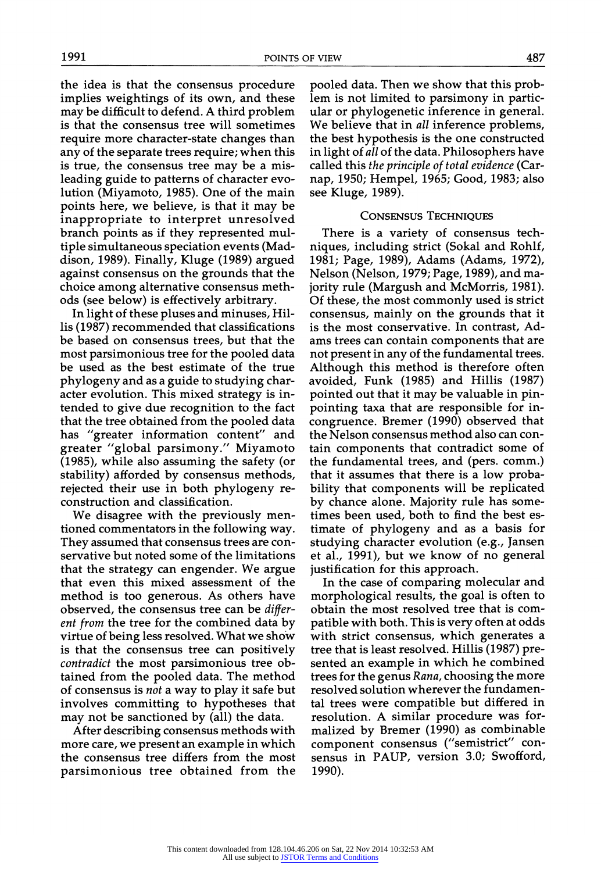1991 **POINTS OF VIEW 487** 

the idea is that the consensus procedure implies weightings of its own, and these may be difficult to defend. A third problem is that the consensus tree will sometimes require more character-state changes than any of the separate trees require; when this is true, the consensus tree may be a misleading guide to patterns of character evolution (Miyamoto, 1985). One of the main points here, we believe, is that it may be inappropriate to interpret unresolved branch points as if they represented multiple simultaneous speciation events (Maddison, 1989). Finally, Kluge (1989) argued against consensus on the grounds that the choice among alternative consensus methods (see below) is effectively arbitrary.

In light of these pluses and minuses, Hillis (1987) recommended that classifications be based on consensus trees, but that the most parsimonious tree for the pooled data be used as the best estimate of the true phylogeny and as a guide to studying character evolution. This mixed strategy is intended to give due recognition to the fact that the tree obtained from the pooled data has "greater information content" and greater "global parsimony." Miyamoto (1985), while also assuming the safety (or stability) afforded by consensus methods, rejected their use in both phylogeny reconstruction and classification.

We disagree with the previously mentioned commentators in the following way. They assumed that consensus trees are conservative but noted some of the limitations that the strategy can engender. We argue that even this mixed assessment of the method is too generous. As others have observed, the consensus tree can be *differ*ent from the tree for the combined data by virtue of being less resolved. What we show is that the consensus tree can positively contradict the most parsimonious tree obtained from the pooled data. The method of consensus is not a way to play it safe but involves committing to hypotheses that may not be sanctioned by (all) the data.

After describing consensus methods with more care, we present an example in which the consensus tree differs from the most parsimonious tree obtained from the

pooled data. Then we show that this problem is not limited to parsimony in particular or phylogenetic inference in general. We believe that in all inference problems, the best hypothesis is the one constructed in light of all of the data. Philosophers have called this the principle of total evidence (Carnap, 1950; Hempel, 1965; Good, 1983; also see Kluge, 1989).

#### CONSENSUS TECHNIQUES

There is a variety of consensus techniques, including strict (Sokal and Rohlf, 1981; Page, 1989), Adams (Adams, 1972), Nelson (Nelson, 1979; Page, 1989), and majority rule (Margush and McMorris, 1981). Of these, the most commonly used is strict consensus, mainly on the grounds that it is the most conservative. In contrast, Adams trees can contain components that are not present in any of the fundamental trees. Although this method is therefore often avoided, Funk (1985) and Hillis (1987) pointed out that it may be valuable in pinpointing taxa that are responsible for incongruence. Bremer (1990) observed that the Nelson consensus method also can contain components that contradict some of the fundamental trees, and (pers. comm.) that it assumes that there is a low probability that components will be replicated by chance alone. Majority rule has sometimes been used, both to find the best estimate of phylogeny and as a basis for studying character evolution (e.g., Jansen et al., 1991), but we know of no general justification for this approach.

In the case of comparing molecular and morphological results, the goal is often to obtain the most resolved tree that is compatible with both. This is very often at odds with strict consensus, which generates a tree that is least resolved. Hillis (1987) presented an example in which he combined trees for the genus Rana, choosing the more resolved solution wherever the fundamental trees were compatible but differed in resolution. A similar procedure was formalized by Bremer (1990) as combinable component consensus ("semistrict" consensus in PAUP, version 3.0; Swofford, 1990).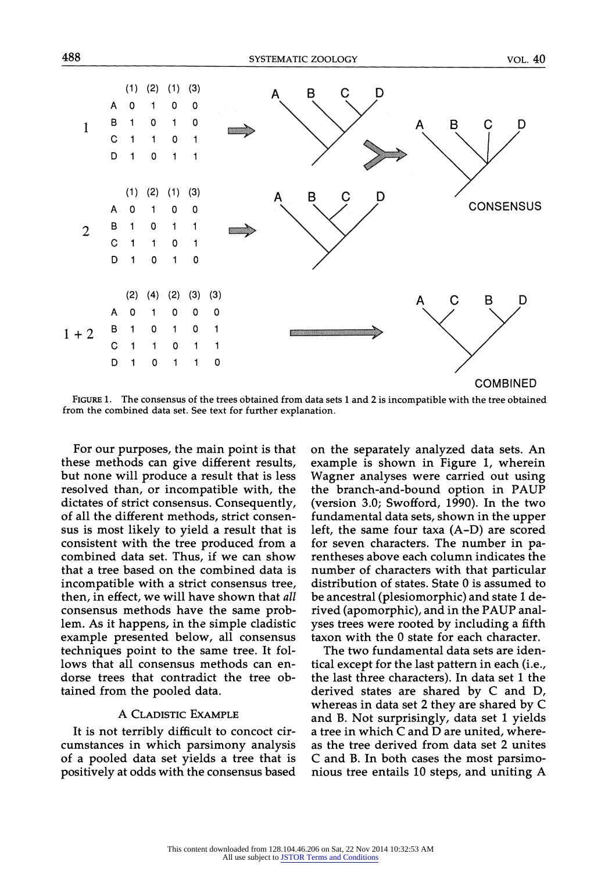

FIGURE 1. The consensus of the trees obtained from data sets 1 and 2 is incompatible with the tree obtained from the combined data set. See text for further explanation.

For our purposes, the main point is that these methods can give different results, but none will produce a result that is less resolved than, or incompatible with, the dictates of strict consensus. Consequently, of all the different methods, strict consensus is most likely to yield a result that is consistent with the tree produced from a combined data set. Thus, if we can show that a tree based on the combined data is incompatible with a strict consensus tree, then, in effect, we will have shown that all consensus methods have the same problem. As it happens, in the simple cladistic example presented below, all consensus techniques point to the same tree. It follows that all consensus methods can endorse trees that contradict the tree obtained from the pooled data.

#### A CLADISTIC EXAMPLE

It is not terribly difficult to concoct circumstances in which parsimony analysis of a pooled data set yields a tree that is positively at odds with the consensus based on the separately analyzed data sets. An example is shown in Figure 1, wherein Wagner analyses were carried out using the branch-and-bound option in PAUP (version 3.0; Swofford, 1990). In the two fundamental data sets, shown in the upper left, the same four taxa (A-D) are scored for seven characters. The number in parentheses above each column indicates the number of characters with that particular distribution of states. State 0 is assumed to be ancestral (plesiomorphic) and state 1 derived (apomorphic), and in the PAUP analyses trees were rooted by including a fifth taxon with the 0 state for each character.

The two fundamental data sets are identical except for the last pattern in each (i.e., the last three characters). In data set 1 the derived states are shared by C and D, whereas in data set 2 they are shared by C and B. Not surprisingly, data set 1 yields a tree in which C and D are united, whereas the tree derived from data set 2 unites C and B. In both cases the most parsimonious tree entails 10 steps, and uniting A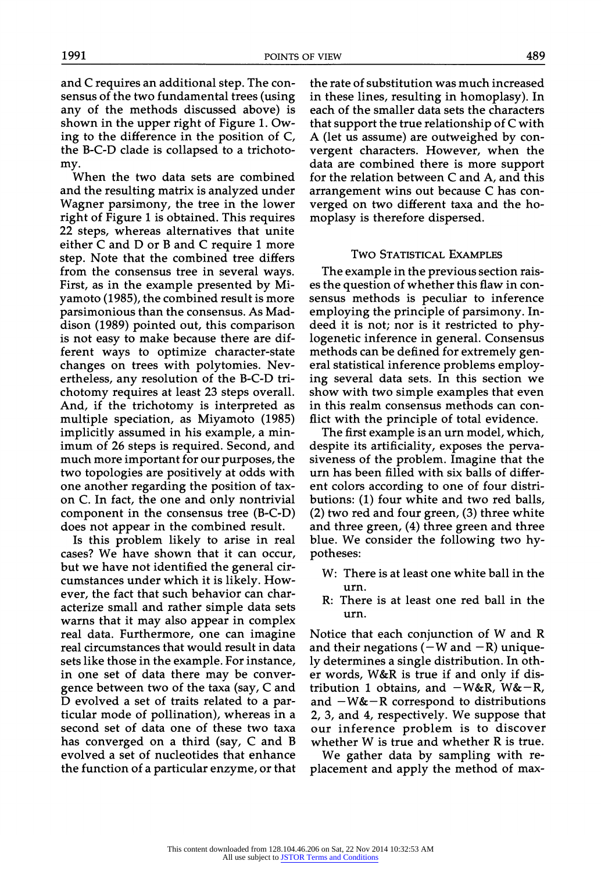and C requires an additional step. The consensus of the two fundamental trees (using any of the methods discussed above) is shown in the upper right of Figure 1. Owing to the difference in the position of C, the B-C-D clade is collapsed to a trichotomy.

When the two data sets are combined and the resulting matrix is analyzed under Wagner parsimony, the tree in the lower right of Figure 1 is obtained. This requires 22 steps, whereas alternatives that unite either C and D or B and C require 1 more step. Note that the combined tree differs from the consensus tree in several ways. First, as in the example presented by Miyamoto (1985), the combined result is more parsimonious than the consensus. As Maddison (1989) pointed out, this comparison is not easy to make because there are different ways to optimize character-state changes on trees with polytomies. Nevertheless, any resolution of the B-C-D trichotomy requires at least 23 steps overall. And, if the trichotomy is interpreted as multiple speciation, as Miyamoto (1985) implicitly assumed in his example, a minimum of 26 steps is required. Second, and much more important for our purposes, the two topologies are positively at odds with one another regarding the position of taxon C. In fact, the one and only nontrivial component in the consensus tree (B-C-D) does not appear in the combined result.

Is this problem likely to arise in real cases? We have shown that it can occur, but we have not identified the general circumstances under which it is likely. However, the fact that such behavior can characterize small and rather simple data sets warns that it may also appear in complex real data. Furthermore, one can imagine real circumstances that would result in data sets like those in the example. For instance, in one set of data there may be convergence between two of the taxa (say, C and D evolved a set of traits related to a particular mode of pollination), whereas in a second set of data one of these two taxa has converged on a third (say, C and B evolved a set of nucleotides that enhance the function of a particular enzyme, or that the rate of substitution was much increased in these lines, resulting in homoplasy). In each of the smaller data sets the characters that support the true relationship of C with A (let us assume) are outweighed by convergent characters. However, when the data are combined there is more support for the relation between C and A, and this arrangement wins out because C has converged on two different taxa and the homoplasy is therefore dispersed.

#### Two STATISTICAL EXAMPLES

The example in the previous section raises the question of whether this flaw in consensus methods is peculiar to inference employing the principle of parsimony. Indeed it is not; nor is it restricted to phylogenetic inference in general. Consensus methods can be defined for extremely general statistical inference problems employing several data sets. In this section we show with two simple examples that even in this realm consensus methods can conflict with the principle of total evidence.

The first example is an urn model, which, despite its artificiality, exposes the pervasiveness of the problem. Imagine that the urn has been filled with six balls of different colors according to one of four distributions: (1) four white and two red balls, (2) two red and four green, (3) three white and three green, (4) three green and three blue. We consider the following two hypotheses:

- W: There is at least one white ball in the urn.
- R: There is at least one red ball in the urn.

Notice that each conjunction of W and R and their negations ( $-W$  and  $-R$ ) uniquely determines a single distribution. In other words, W&R is true if and only if distribution 1 obtains, and  $-W\&R, W\&-R,$ and  $-W&-R$  correspond to distributions 2, 3, and 4, respectively. We suppose that our inference problem is to discover whether W is true and whether R is true.

We gather data by sampling with replacement and apply the method of max-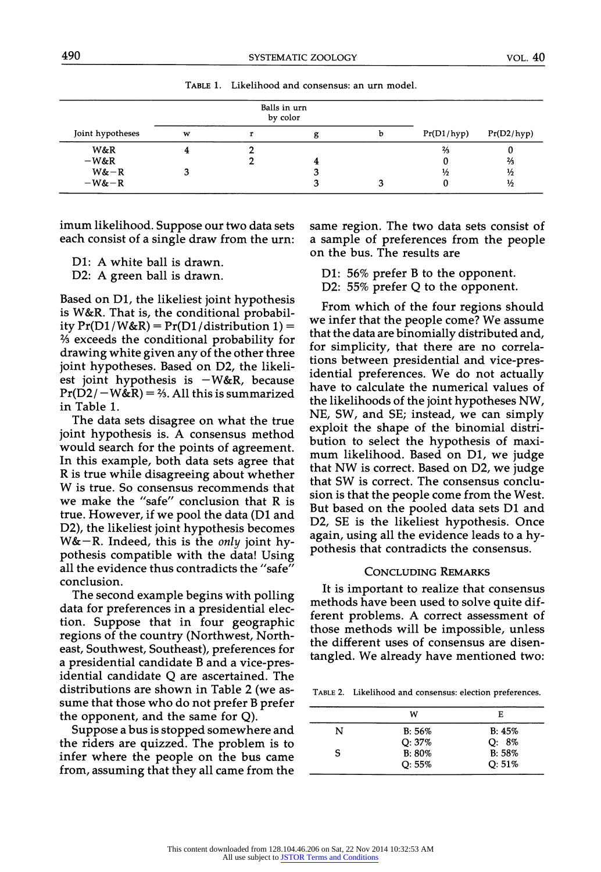TABLE 1. Likelihood and consensus: an urn model.

|                  |   | Balls in urn<br>by color |   |               |               |
|------------------|---|--------------------------|---|---------------|---------------|
| Joint hypotheses | w | ь                        | b | Pr(D1/hyp)    | Pr(D2/hyp)    |
| W&R              |   |                          |   | $\frac{2}{3}$ |               |
| $-W&R$           |   |                          |   |               | $\frac{2}{3}$ |
| W&R              |   |                          |   | $\frac{1}{2}$ | $\frac{1}{2}$ |
| $-W&-R$          |   |                          |   |               | ½             |

imum likelihood. Suppose our two data sets each consist of a single draw from the urn:

D2: A green ball is drawn.

Based on Dl, the likeliest joint hypothesis is W&R. That is, the conditional probability  $Pr(D1/W\&R) = Pr(D1/distribution 1) =$ 2/3 exceeds the conditional probability for drawing white given any of the other three joint hypotheses. Based on D2, the likeliest joint hypothesis is  $-W\&R$ , because  $Pr(D2/-W$ &R) =  $\frac{2}{3}$ . All this is summarized in Table 1.

The data sets disagree on what the true joint hypothesis is. A consensus method would search for the points of agreement. In this example, both data sets agree that R is true while disagreeing about whether W is true. So consensus recommends that we make the "safe" conclusion that R is true. However, if we pool the data (Dl and D2), the likeliest joint hypothesis becomes W& $-R$ . Indeed, this is the *only* joint hypothesis compatible with the data! Using all the evidence thus contradicts the "safe" conclusion.

The second example begins with polling data for preferences in a presidential election. Suppose that in four geographic regions of the country (Northwest, Northeast, Southwest, Southeast), preferences for a presidential candidate B and a vice-presidential candidate Q are ascertained. The distributions are shown in Table 2 (we assume that those who do not prefer B prefer the opponent, and the same for Q).

Suppose a bus is stopped somewhere and the riders are quizzed. The problem is to infer where the people on the bus came from, assuming that they all came from the

same region. The two data sets consist of a sample of preferences from the people on the bus. The results are

Dl: 56% prefer B to the opponent.

D2: 55% prefer Q to the opponent.

From which of the four regions should we infer that the people come? We assume that the data are binomially distributed and, for simplicity, that there are no correlations between presidential and vice-presidential preferences. We do not actually have to calculate the numerical values of the likelihoods of the joint hypotheses NW, NE, SW, and SE; instead, we can simply exploit the shape of the binomial distribution to select the hypothesis of maximum likelihood. Based on Dl, we judge that NW is correct. Based on D2, we judge that SW is correct. The consensus conclusion is that the people come from the West. But based on the pooled data sets Dl and D2, SE is the likeliest hypothesis. Once again, using all the evidence leads to a hypothesis that contradicts the consensus.

#### CONCLUDING REMARKS

It is important to realize that consensus methods have been used to solve quite different problems. A correct assessment of those methods will be impossible, unless the different uses of consensus are disentangled. We already have mentioned two:

TABLE 2. Likelihood and consensus: election preferences.

|   | w         | E        |
|---|-----------|----------|
| N | B: 56%    | B: 45%   |
|   | O: 37%    | $Q: 8\%$ |
| s | $B: 80\%$ | B: 58%   |
|   | Q: 55%    | Q: 51%   |

Dl: A white ball is drawn.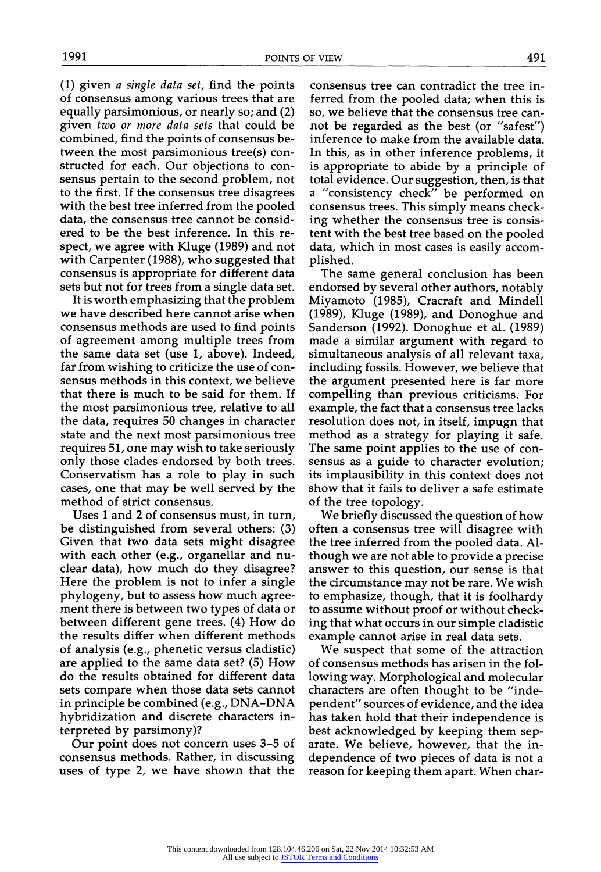(1) given a single data set, find the points of consensus among various trees that are equally parsimonious, or nearly so; and (2) given two or more data sets that could be combined, find the points of consensus between the most parsimonious tree(s) constructed for each. Our objections to consensus pertain to the second problem, not to the first. If the consensus tree disagrees with the best tree inferred from the pooled data, the consensus tree cannot be considered to be the best inference. In this respect, we agree with Kluge (1989) and not with Carpenter (1988), who suggested that consensus is appropriate for different data sets but not for trees from a single data set.

It is worth emphasizing that the problem we have described here cannot arise when consensus methods are used to find points of agreement among multiple trees from the same data set (use 1, above). Indeed, far from wishing to criticize the use of consensus methods in this context, we believe that there is much to be said for them. If the most parsimonious tree, relative to all the data, requires 50 changes in character state and the next most parsimonious tree requires 51, one may wish to take seriously only those clades endorsed by both trees. Conservatism has a role to play in such cases, one that may be well served by the method of strict consensus.

Uses 1 and 2 of consensus must, in turn, be distinguished from several others: (3) Given that two data sets might disagree with each other (e.g., organellar and nuclear data), how much do they disagree? Here the problem is not to infer a single phylogeny, but to assess how much agreement there is between two types of data or between different gene trees. (4) How do the results differ when different methods of analysis (e.g., phenetic versus cladistic) are applied to the same data set? (5) How do the results obtained for different data sets compare when those data sets cannot in principle be combined (e.g., DNA-DNA hybridization and discrete characters interpreted by parsimony)?

Our point does not concern uses 3-5 of consensus methods. Rather, in discussing uses of type 2, we have shown that the

consensus tree can contradict the tree inferred from the pooled data; when this is so, we believe that the consensus tree cannot be regarded as the best (or "safest") inference to make from the available data. In this, as in other inference problems, it is appropriate to abide by a principle of total evidence. Our suggestion, then, is that a "consistency check" be performed on consensus trees. This simply means checking whether the consensus tree is consistent with the best tree based on the pooled data, which in most cases is easily accomplished.

The same general conclusion has been endorsed by several other authors, notably Miyamoto (1985), Cracraft and Mindell (1989), Kluge (1989), and Donoghue and Sanderson (1992). Donoghue et al. (1989) made a similar argument with regard to simultaneous analysis of all relevant taxa, including fossils. However, we believe that the argument presented here is far more compelling than previous criticisms. For example, the fact that a consensus tree lacks resolution does not, in itself, impugn that method as a strategy for playing it safe. The same point applies to the use of consensus as a guide to character evolution; its implausibility in this context does not show that it fails to deliver a safe estimate of the tree topology.

We briefly discussed the question of how often a consensus tree will disagree with the tree inferred from the pooled data. Although we are not able to provide a precise answer to this question, our sense is that the circumstance may not be rare. We wish to emphasize, though, that it is foolhardy to assume without proof or without checking that what occurs in our simple cladistic example cannot arise in real data sets.

We suspect that some of the attraction of consensus methods has arisen in the following way. Morphological and molecular characters are often thought to be "independent" sources of evidence, and the idea has taken hold that their independence is best acknowledged by keeping them separate. We believe, however, that the independence of two pieces of data is not a reason for keeping them apart. When char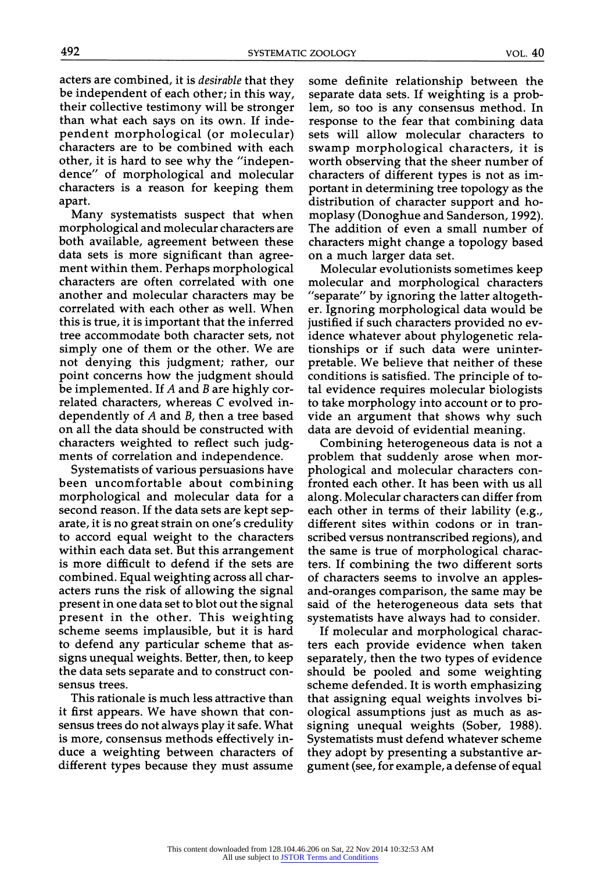492 SYSTEMATIC ZOOLOGY VOL. 40

acters are combined, it is desirable that they be independent of each other; in this way, their collective testimony will be stronger than what each says on its own. If independent morphological (or molecular) characters are to be combined with each other, it is hard to see why the "independence" of morphological and molecular characters is a reason for keeping them apart.

Many systematists suspect that when morphological and molecular characters are both available, agreement between these data sets is more significant than agreement within them. Perhaps morphological characters are often correlated with one another and molecular characters may be correlated with each other as well. When this is true, it is important that the inferred tree accommodate both character sets, not simply one of them or the other. We are not denying this judgment; rather, our point concerns how the judgment should be implemented. If A and B are highly correlated characters, whereas C evolved independently of A and B, then a tree based on all the data should be constructed with characters weighted to reflect such judgments of correlation and independence.

Systematists of various persuasions have been uncomfortable about combining morphological and molecular data for a second reason. If the data sets are kept separate, it is no great strain on one's credulity to accord equal weight to the characters within each data set. But this arrangement is more difficult to defend if the sets are combined. Equal weighting across all characters runs the risk of allowing the signal present in one data set to blot out the signal present in the other. This weighting scheme seems implausible, but it is hard to defend any particular scheme that assigns unequal weights. Better, then, to keep the data sets separate and to construct consensus trees.

This rationale is much less attractive than it first appears. We have shown that consensus trees do not always play it safe. What is more, consensus methods effectively induce a weighting between characters of different types because they must assume some definite relationship between the separate data sets. If weighting is a problem, so too is any consensus method. In response to the fear that combining data sets will allow molecular characters to swamp morphological characters, it is worth observing that the sheer number of characters of different types is not as important in determining tree topology as the distribution of character support and homoplasy (Donoghue and Sanderson, 1992). The addition of even a small number of characters might change a topology based on a much larger data set.

Molecular evolutionists sometimes keep molecular and morphological characters "separate" by ignoring the latter altogether. Ignoring morphological data would be justified if such characters provided no evidence whatever about phylogenetic relationships or if such data were uninterpretable. We believe that neither of these conditions is satisfied. The principle of total evidence requires molecular biologists to take morphology into account or to provide an argument that shows why such data are devoid of evidential meaning.

Combining heterogeneous data is not a problem that suddenly arose when morphological and molecular characters confronted each other. It has been with us all along. Molecular characters can differ from each other in terms of their lability (e.g., different sites within codons or in transcribed versus nontranscribed regions), and the same is true of morphological characters. If combining the two different sorts of characters seems to involve an applesand-oranges comparison, the same may be said of the heterogeneous data sets that systematists have always had to consider.

If molecular and morphological characters each provide evidence when taken separately, then the two types of evidence should be pooled and some weighting scheme defended. It is worth emphasizing that assigning equal weights involves biological assumptions just as much as assigning unequal weights (Sober, 1988). Systematists must defend whatever scheme they adopt by presenting a substantive argument (see, for example, a defense of equal